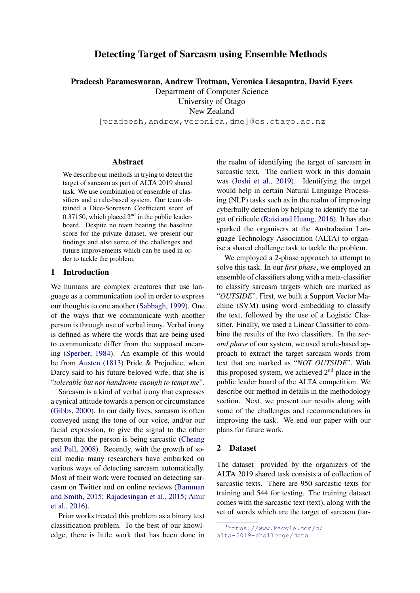# Detecting Target of Sarcasm using Ensemble Methods

Pradeesh Parameswaran, Andrew Trotman, Veronica Liesaputra, David Eyers

Department of Computer Science University of Otago

New Zealand

[pradeesh,andrew,veronica,dme]@cs.otago.ac.nz

#### Abstract

We describe our methods in trying to detect the target of sarcasm as part of ALTA 2019 shared task. We use combination of ensemble of classifiers and a rule-based system. Our team obtained a Dice-Sorensen Coefficient score of 0.37150, which placed  $2<sup>nd</sup>$  in the public leaderboard. Despite no team beating the baseline score for the private dataset, we present our findings and also some of the challenges and future improvements which can be used in order to tackle the problem.

## 1 Introduction

We humans are complex creatures that use language as a communication tool in order to express our thoughts to one another [\(Sabbagh,](#page-5-0) [1999\)](#page-5-0). One of the ways that we communicate with another person is through use of verbal irony. Verbal irony is defined as where the words that are being used to communicate differ from the supposed meaning [\(Sperber,](#page-5-1) [1984\)](#page-5-1). An example of this would be from [Austen](#page-5-2) [\(1813\)](#page-5-2) Pride & Prejudice, when Darcy said to his future beloved wife, that she is "*tolerable but not handsome enough to tempt me*".

Sarcasm is a kind of verbal irony that expresses a cynical attitude towards a person or circumstance [\(Gibbs,](#page-5-3) [2000\)](#page-5-3). In our daily lives, sarcasm is often conveyed using the tone of our voice, and/or our facial expression, to give the signal to the other person that the person is being sarcastic [\(Cheang](#page-5-4) [and Pell,](#page-5-4) [2008\)](#page-5-4). Recently, with the growth of social media many researchers have embarked on various ways of detecting sarcasm automatically. Most of their work were focused on detecting sarcasm on Twitter and on online reviews [\(Bamman](#page-5-5) [and Smith,](#page-5-5) [2015;](#page-5-5) [Rajadesingan et al.,](#page-5-6) [2015;](#page-5-6) [Amir](#page-5-7) [et al.,](#page-5-7) [2016\)](#page-5-7).

Prior works treated this problem as a binary text classification problem. To the best of our knowledge, there is little work that has been done in

the realm of identifying the target of sarcasm in sarcastic text. The earliest work in this domain was [\(Joshi et al.,](#page-5-8) [2019\)](#page-5-8). Identifying the target would help in certain Natural Language Processing (NLP) tasks such as in the realm of improving cyberbully detection by helping to identify the target of ridicule [\(Raisi and Huang,](#page-5-9) [2016\)](#page-5-9). It has also sparked the organisers at the Australasian Language Technology Association (ALTA) to organise a shared challenge task to tackle the problem.

We employed a 2-phase approach to attempt to solve this task. In our *first phase*, we employed an ensemble of classifiers along with a meta-classifier to classify sarcasm targets which are marked as "*OUTSIDE*". First, we built a Support Vector Machine (SVM) using word embedding to classify the text, followed by the use of a Logistic Classifier. Finally, we used a Linear Classifier to combine the results of the two classifiers. In the *second phase* of our system, we used a rule-based approach to extract the target sarcasm words from text that are marked as "*NOT OUTSIDE*". With this proposed system, we achieved  $2<sup>nd</sup>$  place in the public leader board of the ALTA competition. We describe our method in details in the methodology section. Next, we present our results along with some of the challenges and recommendations in improving the task. We end our paper with our plans for future work.

#### 2 Dataset

The dataset<sup>[1](#page-0-0)</sup> provided by the organizers of the ALTA 2019 shared task consists a of collection of sarcastic texts. There are 950 sarcastic texts for training and 544 for testing. The training dataset comes with the sarcastic text (text), along with the set of words which are the target of sarcasm (tar-

<span id="page-0-0"></span><sup>1</sup>[https://www.kaggle.com/c/](https://www.kaggle.com/c/alta-2019-challenge/data) [alta-2019-challenge/data](https://www.kaggle.com/c/alta-2019-challenge/data)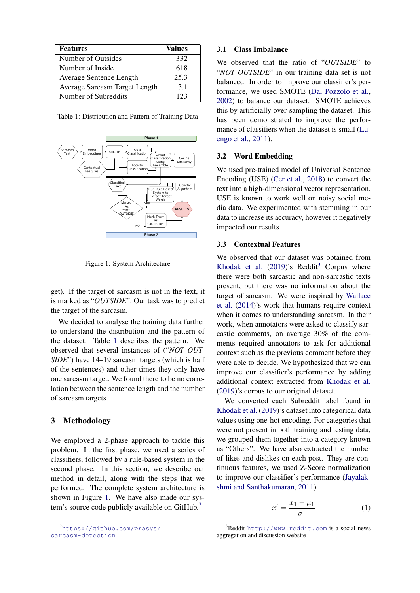<span id="page-1-0"></span>

| <b>Features</b>               | Values |
|-------------------------------|--------|
| Number of Outsides            | 332    |
| Number of Inside              | 618    |
| Average Sentence Length       | 25.3   |
| Average Sarcasm Target Length | 3.1    |
| Number of Subreddits          | 123    |

Table 1: Distribution and Pattern of Training Data

<span id="page-1-1"></span>

Figure 1: System Architecture

get). If the target of sarcasm is not in the text, it is marked as "*OUTSIDE*". Our task was to predict the target of the sarcasm.

We decided to analyse the training data further to understand the distribution and the pattern of the dataset. Table [1](#page-1-0) describes the pattern. We observed that several instances of ("*NOT OUT-SIDE*") have 14–19 sarcasm targets (which is half of the sentences) and other times they only have one sarcasm target. We found there to be no correlation between the sentence length and the number of sarcasm targets.

#### 3 Methodology

We employed a 2-phase approach to tackle this problem. In the first phase, we used a series of classifiers, followed by a rule-based system in the second phase. In this section, we describe our method in detail, along with the steps that we performed. The complete system architecture is shown in Figure [1.](#page-1-1) We have also made our sys-tem's source code publicly available on GitHub.<sup>[2](#page-1-2)</sup>

<span id="page-1-2"></span><sup>2</sup>[https://github.com/prasys/](https://github.com/prasys/sarcasm-detection) [sarcasm-detection](https://github.com/prasys/sarcasm-detection)

#### 3.1 Class Imbalance

We observed that the ratio of "*OUTSIDE*" to "*NOT OUTSIDE*" in our training data set is not balanced. In order to improve our classifier's performance, we used SMOTE [\(Dal Pozzolo et al.,](#page-5-10) [2002\)](#page-5-10) to balance our dataset. SMOTE achieves this by artificially over-sampling the dataset. This has been demonstrated to improve the performance of classifiers when the dataset is small [\(Lu](#page-5-11)[engo et al.,](#page-5-11) [2011\)](#page-5-11).

#### 3.2 Word Embedding

We used pre-trained model of Universal Sentence Encoding (USE) [\(Cer et al.,](#page-5-12) [2018\)](#page-5-12) to convert the text into a high-dimensional vector representation. USE is known to work well on noisy social media data. We experimented with stemming in our data to increase its accuracy, however it negatively impacted our results.

### 3.3 Contextual Features

We observed that our dataset was obtained from [Khodak et al.](#page-5-13)  $(2019)$ 's Reddit<sup>[3](#page-1-3)</sup> Corpus where there were both sarcastic and non-sarcastic texts present, but there was no information about the target of sarcasm. We were inspired by [Wallace](#page-6-0) [et al.](#page-6-0) [\(2014\)](#page-6-0)'s work that humans require context when it comes to understanding sarcasm. In their work, when annotators were asked to classify sarcastic comments, on average 30% of the comments required annotators to ask for additional context such as the previous comment before they were able to decide. We hypothesized that we can improve our classifier's performance by adding additional context extracted from [Khodak et al.](#page-5-13) [\(2019\)](#page-5-13)'s corpus to our original dataset.

We converted each Subreddit label found in [Khodak et al.](#page-5-13) [\(2019\)](#page-5-13)'s dataset into categorical data values using one-hot encoding. For categories that were not present in both training and testing data, we grouped them together into a category known as "Others". We have also extracted the number of likes and dislikes on each post. They are continuous features, we used Z-Score normalization to improve our classifier's performance [\(Jayalak](#page-5-14)[shmi and Santhakumaran,](#page-5-14) [2011\)](#page-5-14)

$$
x' = \frac{x_1 - \mu_1}{\sigma_1} \tag{1}
$$

<span id="page-1-3"></span> $^3$ Reddit <http://www.reddit.com> is a social news aggregation and discussion website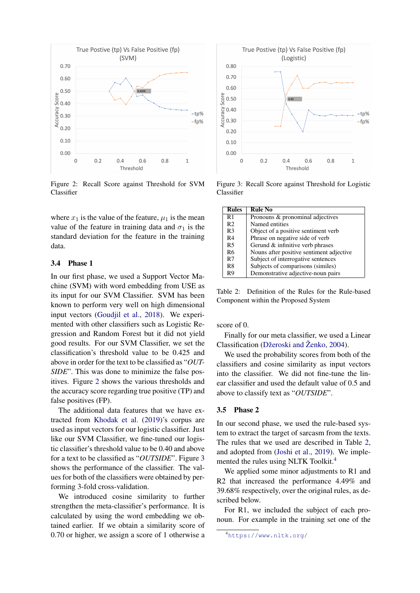<span id="page-2-0"></span>

Figure 2: Recall Score against Threshold for SVM Classifier

where  $x_1$  is the value of the feature,  $\mu_1$  is the mean value of the feature in training data and  $\sigma_1$  is the standard deviation for the feature in the training data.

### 3.4 Phase 1

In our first phase, we used a Support Vector Machine (SVM) with word embedding from USE as its input for our SVM Classifier. SVM has been known to perform very well on high dimensional input vectors [\(Goudjil et al.,](#page-5-15) [2018\)](#page-5-15). We experimented with other classifiers such as Logistic Regression and Random Forest but it did not yield good results. For our SVM Classifier, we set the classification's threshold value to be 0.425 and above in order for the text to be classified as "*OUT-SIDE*". This was done to minimize the false positives. Figure [2](#page-2-0) shows the various thresholds and the accuracy score regarding true positive (TP) and false positives (FP).

The additional data features that we have extracted from [Khodak et al.](#page-5-13) [\(2019\)](#page-5-13)'s corpus are used as input vectors for our logistic classifier. Just like our SVM Classifier, we fine-tuned our logistic classifier's threshold value to be 0.40 and above for a text to be classified as "*OUTSIDE*". Figure [3](#page-2-1) shows the performance of the classifier. The values for both of the classifiers were obtained by performing 3-fold cross-validation.

We introduced cosine similarity to further strengthen the meta-classifier's performance. It is calculated by using the word embedding we obtained earlier. If we obtain a similarity score of 0.70 or higher, we assign a score of 1 otherwise a

<span id="page-2-1"></span>

Figure 3: Recall Score against Threshold for Logistic Classifier

<span id="page-2-2"></span>

| <b>Rules</b>   | <b>Rule No</b>                           |
|----------------|------------------------------------------|
| R1             | Pronouns & pronominal adjectives         |
| R <sub>2</sub> | Named entities                           |
| R3             | Object of a positive sentiment verb      |
| R <sub>4</sub> | Phrase on negative side of verb          |
| R <sub>5</sub> | Gerund & infinitive verb phrases         |
| R <sub>6</sub> | Nouns after positive sentiment adjective |
| R7             | Subject of interrogative sentences       |
| R8             | Subjects of comparisons (similes)        |
| R9             | Demonstrative adjective-noun pairs       |

Table 2: Definition of the Rules for the Rule-based Component within the Proposed System

score of 0.

Finally for our meta classifier, we used a Linear Classification (Džeroski and Ženko, [2004\)](#page-5-16).

We used the probability scores from both of the classifiers and cosine similarity as input vectors into the classifier. We did not fine-tune the linear classifier and used the default value of 0.5 and above to classify text as "*OUTSIDE*".

#### 3.5 Phase 2

In our second phase, we used the rule-based system to extract the target of sarcasm from the texts. The rules that we used are described in Table [2,](#page-2-2) and adopted from [\(Joshi et al.,](#page-5-8) [2019\)](#page-5-8). We imple-mented the rules using NLTK Toolkit.<sup>[4](#page-2-3)</sup>

We applied some minor adjustments to R1 and R2 that increased the performance 4.49% and 39.68% respectively, over the original rules, as described below.

For R1, we included the subject of each pronoun. For example in the training set one of the

<span id="page-2-3"></span><sup>4</sup><https://www.nltk.org/>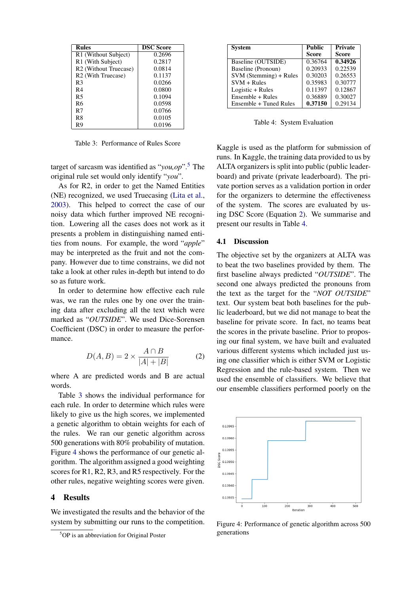<span id="page-3-1"></span>

| <b>Rules</b>                      | <b>DSC Score</b> |
|-----------------------------------|------------------|
| R1 (Without Subject)              | 0.2696           |
| R1 (With Subject)                 | 0.2817           |
| R <sub>2</sub> (Without Truecase) | 0.0814           |
| R <sub>2</sub> (With Truecase)    | 0.1137           |
| R3                                | 0.0266           |
| R4                                | 0.0800           |
| R5                                | 0.1094           |
| R6                                | 0.0598           |
| R7                                | 0.0766           |
| R8                                | 0.0105           |
| R9                                | 0.0196           |

Table 3: Performance of Rules Score

target of sarcasm was identified as "*you,op*".[5](#page-3-0) The original rule set would only identify "*you*".

As for R2, in order to get the Named Entities (NE) recognized, we used Truecasing [\(Lita et al.,](#page-5-17) [2003\)](#page-5-17). This helped to correct the case of our noisy data which further improved NE recognition. Lowering all the cases does not work as it presents a problem in distinguishing named entities from nouns. For example, the word "*apple*" may be interpreted as the fruit and not the company. However due to time constrains, we did not take a look at other rules in-depth but intend to do so as future work.

In order to determine how effective each rule was, we ran the rules one by one over the training data after excluding all the text which were marked as "*OUTSIDE*". We used Dice-Sorensen Coefficient (DSC) in order to measure the performance.

<span id="page-3-3"></span>
$$
D(A,B) = 2 \times \frac{A \cap B}{|A| + |B|} \tag{2}
$$

where A are predicted words and B are actual words.

Table [3](#page-3-1) shows the individual performance for each rule. In order to determine which rules were likely to give us the high scores, we implemented a genetic algorithm to obtain weights for each of the rules. We ran our genetic algorithm across 500 generations with 80% probability of mutation. Figure [4](#page-3-2) shows the performance of our genetic algorithm. The algorithm assigned a good weighting scores for R1, R2, R3, and R5 respectively. For the other rules, negative weighting scores were given.

#### 4 Results

We investigated the results and the behavior of the system by submitting our runs to the competition.

<span id="page-3-4"></span>

| <b>System</b>          | Public       | <b>Private</b> |
|------------------------|--------------|----------------|
|                        | <b>Score</b> | <b>Score</b>   |
| Baseline (OUTSIDE)     | 0.36764      | 0.34926        |
| Baseline (Pronoun)     | 0.20933      | 0.22539        |
| SVM (Stemming) + Rules | 0.30203      | 0.26553        |
| $SVM + Rules$          | 0.35983      | 0.30777        |
| Logistic + Rules       | 0.11397      | 0.12867        |
| Ensemble + Rules       | 0.36889      | 0.30027        |
| Ensemble + Tuned Rules | 0.37150      | 0.29134        |

Table 4: System Evaluation

Kaggle is used as the platform for submission of runs. In Kaggle, the training data provided to us by ALTA organizers is split into public (public leaderboard) and private (private leaderboard). The private portion serves as a validation portion in order for the organizers to determine the effectiveness of the system. The scores are evaluated by using DSC Score (Equation [2\)](#page-3-3). We summarise and present our results in Table [4.](#page-3-4)

### 4.1 Discussion

The objective set by the organizers at ALTA was to beat the two baselines provided by them. The first baseline always predicted "*OUTSIDE*". The second one always predicted the pronouns from the text as the target for the "*NOT OUTSIDE*" text. Our system beat both baselines for the public leaderboard, but we did not manage to beat the baseline for private score. In fact, no teams beat the scores in the private baseline. Prior to proposing our final system, we have built and evaluated various different systems which included just using one classifier which is either SVM or Logistic Regression and the rule-based system. Then we used the ensemble of classifiers. We believe that our ensemble classifiers performed poorly on the

<span id="page-3-2"></span>

Figure 4: Performance of genetic algorithm across 500 generations

<span id="page-3-0"></span><sup>5</sup>OP is an abbreviation for Original Poster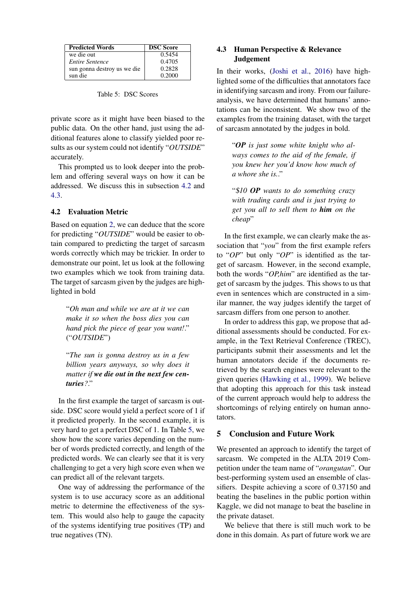<span id="page-4-2"></span>

| <b>Predicted Words</b>      | <b>DSC Score</b> |
|-----------------------------|------------------|
| we die out                  | 0.5454           |
| Entire Sentence             | 0.4705           |
| sun gonna destroy us we die | 0.2828           |
| sun die                     | 0.2000           |

Table 5: DSC Scores

private score as it might have been biased to the public data. On the other hand, just using the additional features alone to classify yielded poor results as our system could not identify "*OUTSIDE*" accurately.

This prompted us to look deeper into the problem and offering several ways on how it can be addressed. We discuss this in subsection [4.2](#page-4-0) and [4.3.](#page-4-1)

# <span id="page-4-0"></span>4.2 Evaluation Metric

Based on equation [2,](#page-3-3) we can deduce that the score for predicting "*OUTSIDE*" would be easier to obtain compared to predicting the target of sarcasm words correctly which may be trickier. In order to demonstrate our point, let us look at the following two examples which we took from training data. The target of sarcasm given by the judges are highlighted in bold

"*Oh man and while we are at it we can make it so when the boss dies you can hand pick the piece of gear you want!*." ("*OUTSIDE*")

"*The sun is gonna destroy us in a few billion years anyways, so why does it matter if we die out in the next few centuries?*."

In the first example the target of sarcasm is outside. DSC score would yield a perfect score of 1 if it predicted properly. In the second example, it is very hard to get a perfect DSC of 1. In Table [5,](#page-4-2) we show how the score varies depending on the number of words predicted correctly, and length of the predicted words. We can clearly see that it is very challenging to get a very high score even when we can predict all of the relevant targets.

One way of addressing the performance of the system is to use accuracy score as an additional metric to determine the effectiveness of the system. This would also help to gauge the capacity of the systems identifying true positives (TP) and true negatives (TN).

## <span id="page-4-1"></span>4.3 Human Perspective & Relevance **Judgement**

In their works, [\(Joshi et al.,](#page-5-18) [2016\)](#page-5-18) have highlighted some of the difficulties that annotators face in identifying sarcasm and irony. From our failureanalysis, we have determined that humans' annotations can be inconsistent. We show two of the examples from the training dataset, with the target of sarcasm annotated by the judges in bold.

"*OP is just some white knight who always comes to the aid of the female, if you knew her you'd know how much of a whore she is.*."

"\$*10 OP wants to do something crazy with trading cards and is just trying to get you all to sell them to him on the cheap*"

In the first example, we can clearly make the association that "*you*" from the first example refers to "*OP*" but only "*OP*" is identified as the target of sarcasm. However, in the second example, both the words "*OP,him*" are identified as the target of sarcasm by the judges. This shows to us that even in sentences which are constructed in a similar manner, the way judges identify the target of sarcasm differs from one person to another.

In order to address this gap, we propose that additional assessments should be conducted. For example, in the Text Retrieval Conference (TREC), participants submit their assessments and let the human annotators decide if the documents retrieved by the search engines were relevant to the given queries [\(Hawking et al.,](#page-5-19) [1999\)](#page-5-19). We believe that adopting this approach for this task instead of the current approach would help to address the shortcomings of relying entirely on human annotators.

# 5 Conclusion and Future Work

We presented an approach to identify the target of sarcasm. We competed in the ALTA 2019 Competition under the team name of "*orangutan*". Our best-performing system used an ensemble of classifiers. Despite achieving a score of 0.37150 and beating the baselines in the public portion within Kaggle, we did not manage to beat the baseline in the private dataset.

We believe that there is still much work to be done in this domain. As part of future work we are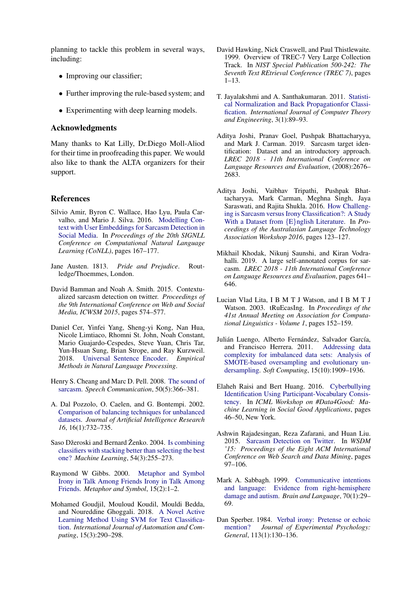planning to tackle this problem in several ways, including:

- Improving our classifier;
- Further improving the rule-based system; and
- Experimenting with deep learning models.

### Acknowledgments

Many thanks to Kat Lilly, Dr.Diego Moll-Aliod for their time in proofreading this paper. We would also like to thank the ALTA organizers for their support.

### References

- <span id="page-5-7"></span>Silvio Amir, Byron C. Wallace, Hao Lyu, Paula Carvalho, and Mario J. Silva. 2016. [Modelling Con](https://doi.org/10.18653/v1/k16-1017)[text with User Embeddings for Sarcasm Detection in](https://doi.org/10.18653/v1/k16-1017) [Social Media.](https://doi.org/10.18653/v1/k16-1017) In *Proceedings of the 20th SIGNLL Conference on Computational Natural Language Learning (CoNLL)*, pages 167–177.
- <span id="page-5-2"></span>Jane Austen. 1813. *Pride and Prejudice*. Routledge/Thoemmes, London.
- <span id="page-5-5"></span>David Bamman and Noah A. Smith. 2015. Contextualized sarcasm detection on twitter. *Proceedings of the 9th International Conference on Web and Social Media, ICWSM 2015*, pages 574–577.
- <span id="page-5-12"></span>Daniel Cer, Yinfei Yang, Sheng-yi Kong, Nan Hua, Nicole Limtiaco, Rhomni St. John, Noah Constant, Mario Guajardo-Cespedes, Steve Yuan, Chris Tar, Yun-Hsuan Sung, Brian Strope, and Ray Kurzweil. 2018. [Universal Sentence Encoder.](http://arxiv.org/abs/1803.11175) *Empirical Methods in Natural Language Processing*.
- <span id="page-5-4"></span>Henry S. Cheang and Marc D. Pell. 2008. [The sound of](https://doi.org/10.1016/j.specom.2007.11.003) [sarcasm.](https://doi.org/10.1016/j.specom.2007.11.003) *Speech Communication*, 50(5):366–381.
- <span id="page-5-10"></span>A. Dal Pozzolo, O. Caelen, and G. Bontempi. 2002. [Comparison of balancing techniques for unbalanced](https://doi.org/10.1613/jair.953) [datasets.](https://doi.org/10.1613/jair.953) *Journal of Artificial Intelligence Research 16*, 16(1):732–735.
- <span id="page-5-16"></span>Saso Džeroski and Bernard Ženko. 2004. [Is combining](https://doi.org/10.1023/B:MACH.0000015881.36452.6e) [classifiers with stacking better than selecting the best](https://doi.org/10.1023/B:MACH.0000015881.36452.6e) [one?](https://doi.org/10.1023/B:MACH.0000015881.36452.6e) *Machine Learning*, 54(3):255–273.
- <span id="page-5-3"></span>Raymond W Gibbs. 2000. [Metaphor and Symbol](https://doi.org/10.1080/10926488.2000.9678862) [Irony in Talk Among Friends Irony in Talk Among](https://doi.org/10.1080/10926488.2000.9678862) [Friends.](https://doi.org/10.1080/10926488.2000.9678862) *Metaphor and Symbol*, 15(2):1–2.
- <span id="page-5-15"></span>Mohamed Goudjil, Mouloud Koudil, Mouldi Bedda, and Noureddine Ghoggali. 2018. [A Novel Active](https://doi.org/10.1007/s11633-015-0912-z) [Learning Method Using SVM for Text Classifica](https://doi.org/10.1007/s11633-015-0912-z)[tion.](https://doi.org/10.1007/s11633-015-0912-z) *International Journal of Automation and Computing*, 15(3):290–298.
- <span id="page-5-19"></span>David Hawking, Nick Craswell, and Paul Thistlewaite. 1999. Overview of TREC-7 Very Large Collection Track. In *NIST Special Publication 500-242: The Seventh Text REtrieval Conference (TREC 7)*, pages 1–13.
- <span id="page-5-14"></span>T. Jayalakshmi and A. Santhakumaran. 2011. [Statisti](https://doi.org/10.7763/ijcte.2011.v3.288)[cal Normalization and Back Propagationfor Classi](https://doi.org/10.7763/ijcte.2011.v3.288)[fication.](https://doi.org/10.7763/ijcte.2011.v3.288) *International Journal of Computer Theory and Engineering*, 3(1):89–93.
- <span id="page-5-8"></span>Aditya Joshi, Pranav Goel, Pushpak Bhattacharyya, and Mark J. Carman. 2019. Sarcasm target identification: Dataset and an introductory approach. *LREC 2018 - 11th International Conference on Language Resources and Evaluation*, (2008):2676– 2683.
- <span id="page-5-18"></span>Aditya Joshi, Vaibhav Tripathi, Pushpak Bhattacharyya, Mark Carman, Meghna Singh, Jaya Saraswati, and Rajita Shukla. 2016. [How Challeng](https://www.aclweb.org/anthology/U16-1013)[ing is Sarcasm versus Irony Classification?: A Study](https://www.aclweb.org/anthology/U16-1013) [With a Dataset from](https://www.aclweb.org/anthology/U16-1013) {E}nglish Literature. In *Proceedings of the Australasian Language Technology Association Workshop 2016*, pages 123–127.
- <span id="page-5-13"></span>Mikhail Khodak, Nikunj Saunshi, and Kiran Vodrahalli. 2019. A large self-annotated corpus for sarcasm. *LREC 2018 - 11th International Conference on Language Resources and Evaluation*, pages 641– 646.
- <span id="page-5-17"></span>Lucian Vlad Lita, I B M T J Watson, and I B M T J Watson. 2003. tRuEcasIng. In *Proceedings of the 41st Annual Meeting on Association for Computational Linguistics - Volume 1*, pages 152–159.
- <span id="page-5-11"></span>Julián Luengo, Alberto Fernández, Salvador García, and Francisco Herrera. 2011. [Addressing data](https://doi.org/10.1007/s00500-010-0625-8) [complexity for imbalanced data sets: Analysis of](https://doi.org/10.1007/s00500-010-0625-8) [SMOTE-based oversampling and evolutionary un](https://doi.org/10.1007/s00500-010-0625-8)[dersampling.](https://doi.org/10.1007/s00500-010-0625-8) *Soft Computing*, 15(10):1909–1936.
- <span id="page-5-9"></span>Elaheh Raisi and Bert Huang. 2016. [Cyberbullying](http://arxiv.org/abs/1606.08084) [Identification Using Participant-Vocabulary Consis](http://arxiv.org/abs/1606.08084)[tency.](http://arxiv.org/abs/1606.08084) In *ICML Workshop on #Data4Good: Machine Learning in Social Good Applications*, pages 46–50, New York.
- <span id="page-5-6"></span>Ashwin Rajadesingan, Reza Zafarani, and Huan Liu. 2015. [Sarcasm Detection on Twitter.](https://doi.org/10.1145/2684822.2685316) In *WSDM '15: Proceedings of the Eight ACM International Conference on Web Search and Data Mining*, pages 97–106.
- <span id="page-5-0"></span>Mark A. Sabbagh. 1999. [Communicative intentions](https://doi.org/10.1006/brln.1999.2139) [and language: Evidence from right-hemisphere](https://doi.org/10.1006/brln.1999.2139) [damage and autism.](https://doi.org/10.1006/brln.1999.2139) *Brain and Language*, 70(1):29– 69.
- <span id="page-5-1"></span>Dan Sperber. 1984. [Verbal irony: Pretense or echoic](https://doi.org/10.1037/0096-3445.113.1.130) [mention?](https://doi.org/10.1037/0096-3445.113.1.130) *Journal of Experimental Psychology: General*, 113(1):130–136.